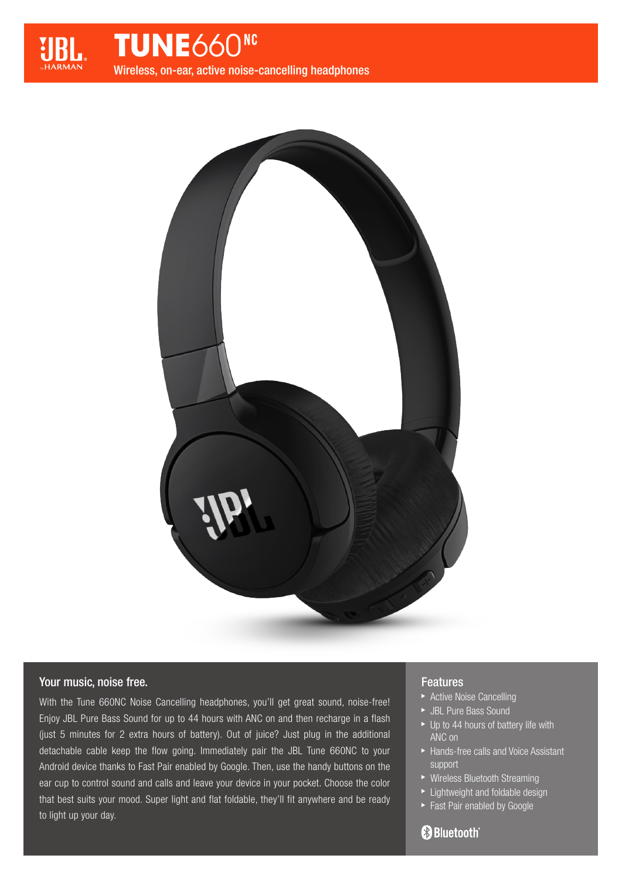



# Your music, noise free.

With the Tune 660NC Noise Cancelling headphones, you'll get great sound, noise-free! Enjoy JBL Pure Bass Sound for up to 44 hours with ANC on and then recharge in a flash (just 5 minutes for 2 extra hours of battery). Out of juice? Just plug in the additional detachable cable keep the flow going. Immediately pair the JBL Tune 660NC to your Android device thanks to Fast Pair enabled by Google. Then, use the handy buttons on the ear cup to control sound and calls and leave your device in your pocket. Choose the color that best suits your mood. Super light and flat foldable, they'll fit anywhere and be ready to light up your day.

# Features

- **Active Noise Cancelling**
- JBL Pure Bass Sound
- ▶ Up to 44 hours of battery life with ANC on
- ▶ Hands-free calls and Voice Assistant support
- ▶ Wireless Bluetooth Streaming
- **Lightweight and foldable design**
- **Fast Pair enabled by Google**